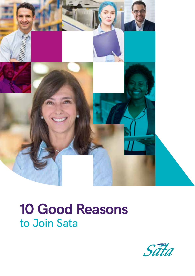

# **10 Good Reasons** to Join Sata

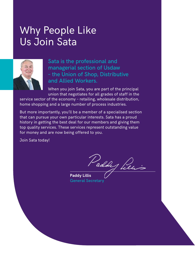### Why People Like Us Join Sata



Sata is the professional and managerial section of Usdaw – the Union of Shop, Distributive and Allied Workers.

When you join Sata, you are part of the principal union that negotiates for all grades of staff in the

service sector of the economy – retailing, wholesale distribution, home shopping and a large number of process industries.

But more importantly, you'll be a member of a specialised section that can pursue your own particular interests. Sata has a proud history in getting the best deal for our members and giving them top quality services. These services represent outstanding value for money and are now being offered to you.

Join Sata today!

Paddy Pien

**Paddy Lillis** General Secretary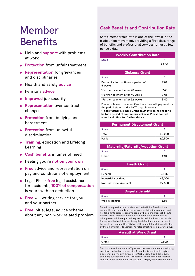## Member **Benefits**

- Help and **support** with problems at work
- **Protection** from unfair treatment
- **Representation** for grievances and disciplinaries
- Health and safety **advice**
- Pensions **advice**
- **•** Improved job security
- **Representation** over contract changes
- **Protection** from bullying and harassment
- **Protection** from unlawful discrimination
- **Training, education and Lifelong** Learning
- **Cash benefits** in times of need
- Feeling you're **not on your own**
- **Free advice and representation on** pay and conditions of employment
- Legal Plus **free** legal assistance for accidents, **100% of compensation** is yours with no deduction
- **Free** will writing service for you and your partner
- **Free** initial legal advice scheme about any non-work related problem

#### **Cash Benefits and Contribution Rate**

Sata's membership rate is one of the lowest in the trade union movement, providing a first class range of benefits and professional services for just a few pence a day.

| <b>Weekly Contribution Rate</b>               |       |  |
|-----------------------------------------------|-------|--|
| Scale                                         | A     |  |
|                                               | £2.60 |  |
| <b>Sickness Grant</b>                         |       |  |
| Scale                                         | A     |  |
| Payment after continuous period of<br>6 weeks | £40   |  |
| *Further payment after 20 weeks               | £140  |  |
| *Further payment after 40 weeks               | £105  |  |
| *Further payment after 52 weeks               | £140  |  |
| .                                             |       |  |

Please note each Sickness Grant is a 'one-off' payment for the period stated and is NOT payable weekly.

**\*These further Sickness Grant payments do not need to be for a period of continuous sickness. Please contact your local office for further details.**

#### **Permanent Disablement Grant**

| <b>Scale</b> |        |
|--------------|--------|
| Total        | £5,250 |
| Partial      | £2,500 |

#### **Maternity/Paternity/Adoption Grant**

| Grant<br>rant | 0.40 |
|---------------|------|

#### **Death Grant**

| £925   |
|--------|
|        |
| £8,000 |
| £2,500 |
|        |

| <b>Dispute Benefit</b> |     |  |
|------------------------|-----|--|
| Scale                  |     |  |
| <b>Weekly Benefit</b>  | £65 |  |

Benefits are payable in accordance with the Union Rule Book and any entitlement depends on paying your contributions regularly and not falling into arrears. Benefits can only be claimed (except dispute benefit) after 12 months' continuous membership. Members and other payees will be requested to provide their bank account details for payment by bank transfer being the default method of payment. Payments are made within 30 days of the completed claim application by the Union's Benefits Section. All rates effective from 26 June 2022.

| <b>Assault at Work Grant</b> |      |  |
|------------------------------|------|--|
| Scale                        |      |  |
| Grant                        | £500 |  |

This is a discretionary one-off payment made subject to the qualifying conditions set out on our website. A member is required to register a personal injury claim through FirstCall Usdaw (0800 055 6333), and if any subsequent claim is successful and the member receives compensation for their injuries the grant is repayable by the member.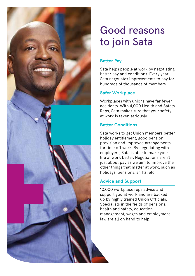

## Good reasons to join Sata

#### **Better Pay**

Sata helps people at work by negotiating better pay and conditions. Every year Sata negotiates improvements to pay for hundreds of thousands of members.

#### **Safer Workplace**

Workplaces with unions have far fewer accidents. With 4,000 Health and Safety Reps, Sata makes sure that your safety at work is taken seriously.

#### **Better Conditions**

Sata works to get Union members better holiday entitlement, good pension provision and improved arrangements for time off work. By negotiating with employers, Sata is able to make your life at work better. Negotiations aren't just about pay as we aim to improve the other things that matter at work, such as holidays, pensions, shifts, etc.

### **Advice and Support**

10,000 workplace reps advise and support you at work and are backed up by highly trained Union Officials. Specialists in the fields of pensions, health and safety, education, management, wages and employment law are all on hand to help.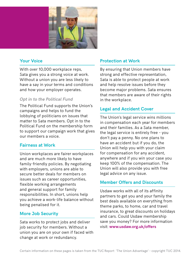

#### **Your Voice**

With over 10,000 workplace reps, Sata gives you a strong voice at work. Without a union you are less likely to have a say in your terms and conditions and how your employer operates.

#### *Opt in to the Political Fund*

The Political Fund supports the Union's campaigns and helps to fund the lobbying of politicians on issues that matter to Sata members. Opt in to the Political Fund on the membership form to support our campaign work that gives our members a voice.

#### **Fairness at Work**

Union workplaces are fairer workplaces and are much more likely to have family-friendly policies. By negotiating with employers, unions are able to secure better deals for members on issues such as career opportunities, flexible working arrangements and general support for family responsibilities. In short, unions help you achieve a work-life balance without being penalised for it.

#### **More Job Security**

Sata works to protect jobs and deliver job security for members. Without a union you are on your own if faced with change at work or redundancy.

#### **Protection at Work**

By ensuring that Union members have strong and effective representation, Sata is able to protect people at work and help resolve issues before they become major problems. Sata ensures that members are aware of their rights in the workplace.

#### **Legal and Accident Cover**

The Union's legal service wins millions in compensation each year for members and their families. As a Sata member, the legal service is entirely free – you don't pay a penny. No one plans to have an accident but if you do, the Union will help you with your claim for compensation for any accident, anywhere and if you win your case you keep 100% of the compensation. The Union will also provide you with free legal advice on any issue.

#### **Member Offers and Discounts**

Usdaw works with all of its affinity partners to get you and your family the best deals available on everything from theme parks, to home, car and travel insurance, to great discounts on holidays and cars. Could Usdaw membership save you money? For more information visit: **www.usdaw.org.uk/offers**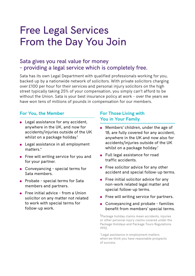## Free Legal Services From the Day You Join

### Sata gives you real value for money – providing a legal service which is completely free.

Sata has its own Legal Department with qualified professionals working for you, backed up by a nationwide network of solicitors. With private solicitors charging over £100 per hour for their services and personal injury solicitors on the high street typically taking 25% of your compensation, you simply can't afford to be without the Union. Sata is your best insurance policy at work – over the years we have won tens of millions of pounds in compensation for our members.

#### **For You, the Member**

- Legal assistance for any accident, anywhere in the UK, and now for accidents/injuries outside of the UK whilst on a package holiday.†
- Legal assistance in all employment matters<sup>\*</sup>
- Free will writing service for you and for your partner.
- Conveyancing special terms for Sata members.
- Probate special terms for Sata members and partners.
- Free initial advice from a Union solicitor on any matter not related to work with special terms for follow-up work.

#### **For Those Living with You in Your Family**

- **Members' children, under the age of** 18, are fully covered for any accident, anywhere in the UK and now also for accidents/injuries outside of the UK whilst on a package holiday.†
- Full legal assistance for road traffic accidents.
- **•** Free solicitor advice for any other accident and special follow-up terms.
- **•** Free initial solicitor advice for any non-work related legal matter and special follow-up terms.
- **•** Free will writing service for partners.
- **Conveyancing and probate families** benefit from members' special terms.

†Package holiday claims mean accidents, injuries or other personal injury claims covered under the Package Holidays and Package Tours Regulations 1992.

\*Legal assistance in employment matters when we think you have reasonable prospects of success.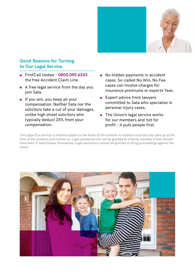

#### **Good Reasons for Turning to Our Legal Service**

- FirstCall Usdaw **0800 055 6333** the free Accident Claim Line.
- A free legal service from the day you join Sata.
- $\bullet$  If you win, you keep all your compensation. Neither Sata nor the solicitors take a cut of your damages, unlike high street solicitors who typically deduct 25% from your compensation.
- No hidden payments in accident cases. So-called No Win, No Fee cases can involve charges for insurance premiums or experts' fees.
- **Expert advice from lawyers** committed to Sata who specialise in personal injury cases.
- The Union's legal service works for our members and not for profit – it puts people first.

The Legal Plus service is offered subject to the Rules of the Scheme. A member must be fully paid up at the time of the problem and remain so. Legal assistance will not be granted to a family member if they should have been in Sata/Usdaw themselves. Legal assistance cannot be granted to bring proceedings against the Union.